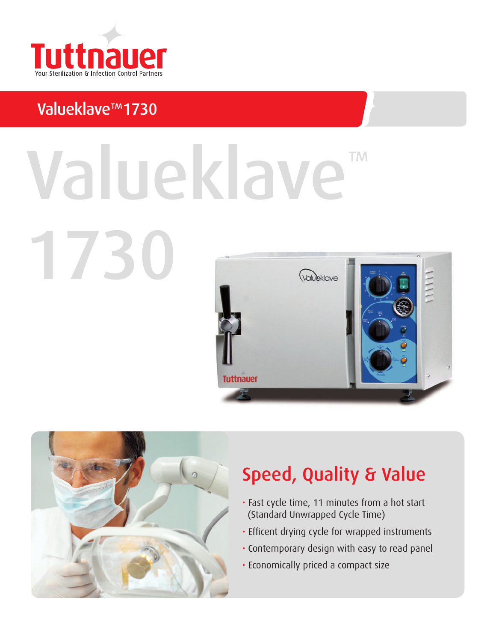

## Valueklave™1730

1730

# ™ Valueklave





## Speed, Quality & Value

- Fast cycle time, 11 minutes from a hot start (Standard Unwrapped Cycle Time)
- Efficent drying cycle for wrapped instruments
- Contemporary design with easy to read panel
- Economically priced a compact size